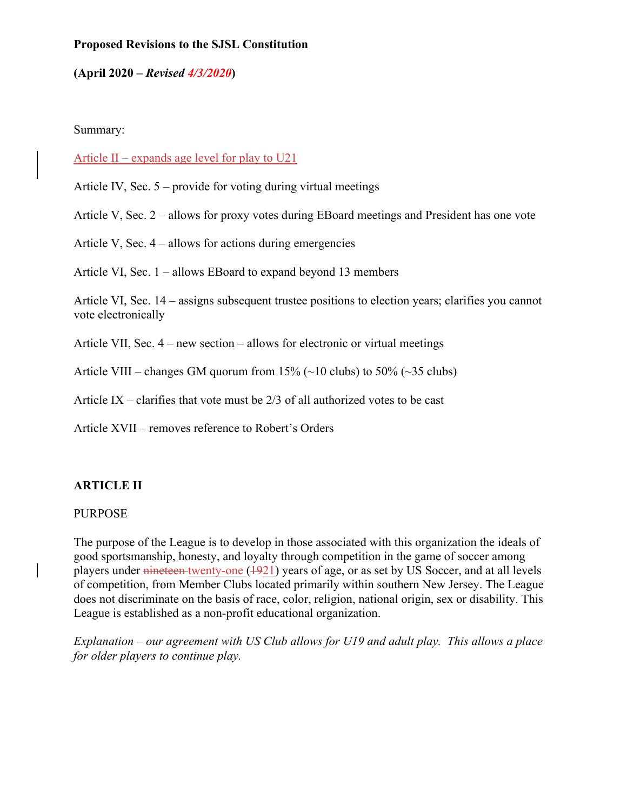### **Proposed Revisions to the SJSL Constitution**

#### **(April 2020 –** *Revised 4/3/2020***)**

#### Summary:

#### Article II – expands age level for play to U21

Article IV, Sec. 5 – provide for voting during virtual meetings

Article V, Sec. 2 – allows for proxy votes during EBoard meetings and President has one vote

Article V, Sec. 4 – allows for actions during emergencies

Article VI, Sec. 1 – allows EBoard to expand beyond 13 members

Article VI, Sec. 14 – assigns subsequent trustee positions to election years; clarifies you cannot vote electronically

Article VII, Sec. 4 – new section – allows for electronic or virtual meetings

Article VIII – changes GM quorum from  $15\%$  ( $\sim$ 10 clubs) to 50% ( $\sim$ 35 clubs)

Article IX – clarifies that vote must be  $2/3$  of all authorized votes to be cast

Article XVII – removes reference to Robert's Orders

### **ARTICLE II**

#### PURPOSE

The purpose of the League is to develop in those associated with this organization the ideals of good sportsmanship, honesty, and loyalty through competition in the game of soccer among players under nineteen twenty-one (1921) years of age, or as set by US Soccer, and at all levels of competition, from Member Clubs located primarily within southern New Jersey. The League does not discriminate on the basis of race, color, religion, national origin, sex or disability. This League is established as a non-profit educational organization.

*Explanation – our agreement with US Club allows for U19 and adult play. This allows a place for older players to continue play.*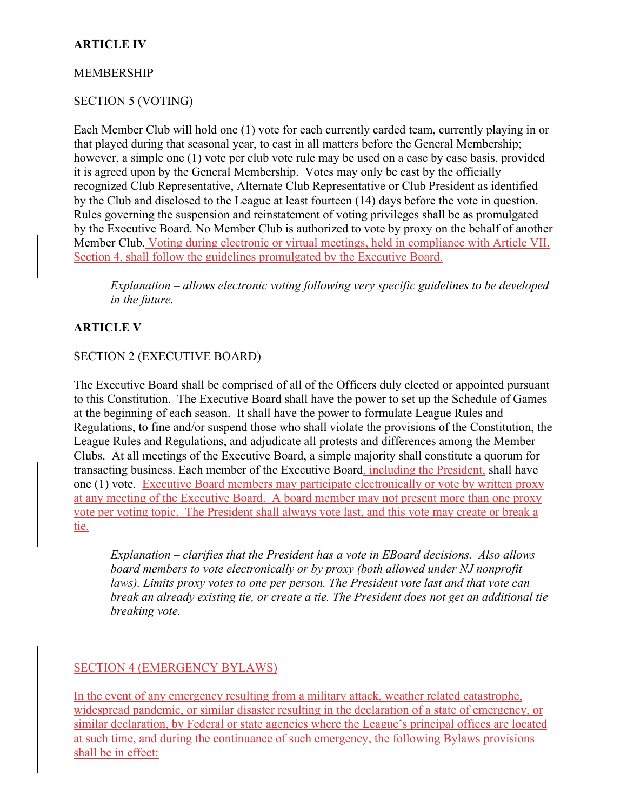## **ARTICLE IV**

## MEMBERSHIP

# SECTION 5 (VOTING)

Each Member Club will hold one (1) vote for each currently carded team, currently playing in or that played during that seasonal year, to cast in all matters before the General Membership; however, a simple one (1) vote per club vote rule may be used on a case by case basis, provided it is agreed upon by the General Membership. Votes may only be cast by the officially recognized Club Representative, Alternate Club Representative or Club President as identified by the Club and disclosed to the League at least fourteen (14) days before the vote in question. Rules governing the suspension and reinstatement of voting privileges shall be as promulgated by the Executive Board. No Member Club is authorized to vote by proxy on the behalf of another Member Club. Voting during electronic or virtual meetings, held in compliance with Article VII, Section 4, shall follow the guidelines promulgated by the Executive Board.

*Explanation – allows electronic voting following very specific guidelines to be developed in the future.* 

# **ARTICLE V**

## SECTION 2 (EXECUTIVE BOARD)

The Executive Board shall be comprised of all of the Officers duly elected or appointed pursuant to this Constitution. The Executive Board shall have the power to set up the Schedule of Games at the beginning of each season. It shall have the power to formulate League Rules and Regulations, to fine and/or suspend those who shall violate the provisions of the Constitution, the League Rules and Regulations, and adjudicate all protests and differences among the Member Clubs. At all meetings of the Executive Board, a simple majority shall constitute a quorum for transacting business. Each member of the Executive Board, including the President, shall have one (1) vote. Executive Board members may participate electronically or vote by written proxy at any meeting of the Executive Board. A board member may not present more than one proxy vote per voting topic. The President shall always vote last, and this vote may create or break a tie.

*Explanation – clarifies that the President has a vote in EBoard decisions. Also allows board members to vote electronically or by proxy (both allowed under NJ nonprofit laws). Limits proxy votes to one per person. The President vote last and that vote can break an already existing tie, or create a tie. The President does not get an additional tie breaking vote.* 

# SECTION 4 (EMERGENCY BYLAWS)

In the event of any emergency resulting from a military attack, weather related catastrophe, widespread pandemic, or similar disaster resulting in the declaration of a state of emergency, or similar declaration, by Federal or state agencies where the League's principal offices are located at such time, and during the continuance of such emergency, the following Bylaws provisions shall be in effect: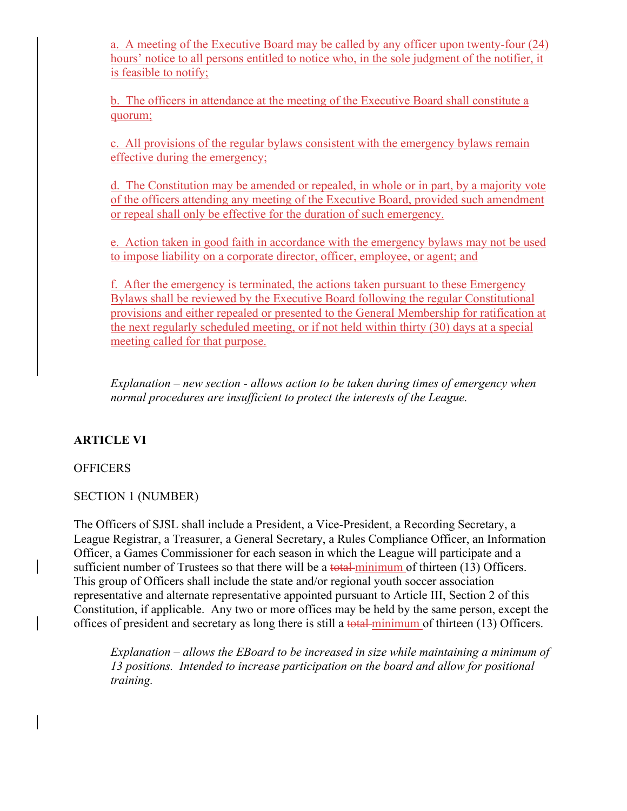a. A meeting of the Executive Board may be called by any officer upon twenty-four (24) hours' notice to all persons entitled to notice who, in the sole judgment of the notifier, it is feasible to notify;

b. The officers in attendance at the meeting of the Executive Board shall constitute a quorum;

c. All provisions of the regular bylaws consistent with the emergency bylaws remain effective during the emergency;

d. The Constitution may be amended or repealed, in whole or in part, by a majority vote of the officers attending any meeting of the Executive Board, provided such amendment or repeal shall only be effective for the duration of such emergency.

e. Action taken in good faith in accordance with the emergency bylaws may not be used to impose liability on a corporate director, officer, employee, or agent; and

f. After the emergency is terminated, the actions taken pursuant to these Emergency Bylaws shall be reviewed by the Executive Board following the regular Constitutional provisions and either repealed or presented to the General Membership for ratification at the next regularly scheduled meeting, or if not held within thirty (30) days at a special meeting called for that purpose.

*Explanation – new section - allows action to be taken during times of emergency when normal procedures are insufficient to protect the interests of the League.* 

## **ARTICLE VI**

### **OFFICERS**

### SECTION 1 (NUMBER)

The Officers of SJSL shall include a President, a Vice-President, a Recording Secretary, a League Registrar, a Treasurer, a General Secretary, a Rules Compliance Officer, an Information Officer, a Games Commissioner for each season in which the League will participate and a sufficient number of Trustees so that there will be a total minimum of thirteen (13) Officers. This group of Officers shall include the state and/or regional youth soccer association representative and alternate representative appointed pursuant to Article III, Section 2 of this Constitution, if applicable. Any two or more offices may be held by the same person, except the offices of president and secretary as long there is still a total minimum of thirteen (13) Officers.

*Explanation – allows the EBoard to be increased in size while maintaining a minimum of 13 positions. Intended to increase participation on the board and allow for positional training.*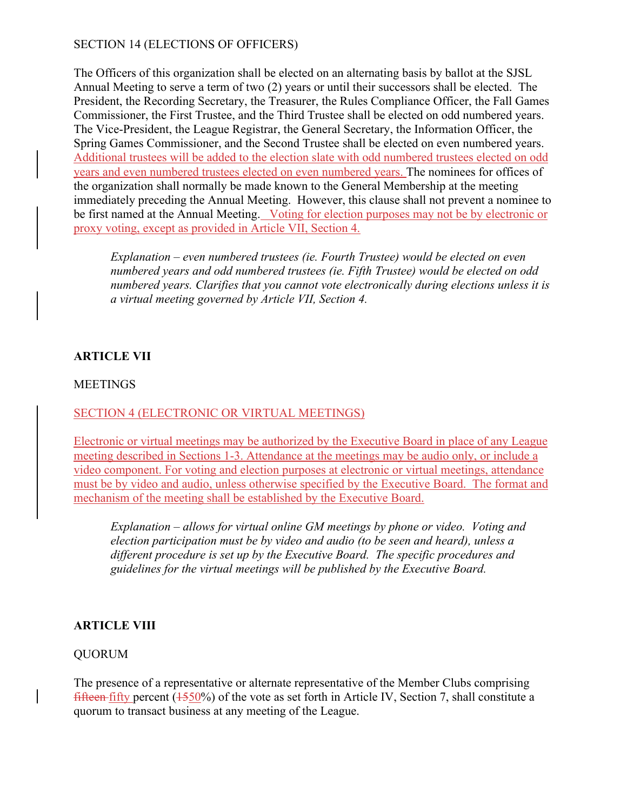## SECTION 14 (ELECTIONS OF OFFICERS)

The Officers of this organization shall be elected on an alternating basis by ballot at the SJSL Annual Meeting to serve a term of two (2) years or until their successors shall be elected. The President, the Recording Secretary, the Treasurer, the Rules Compliance Officer, the Fall Games Commissioner, the First Trustee, and the Third Trustee shall be elected on odd numbered years. The Vice-President, the League Registrar, the General Secretary, the Information Officer, the Spring Games Commissioner, and the Second Trustee shall be elected on even numbered years. Additional trustees will be added to the election slate with odd numbered trustees elected on odd years and even numbered trustees elected on even numbered years. The nominees for offices of the organization shall normally be made known to the General Membership at the meeting immediately preceding the Annual Meeting. However, this clause shall not prevent a nominee to be first named at the Annual Meeting. Voting for election purposes may not be by electronic or proxy voting, except as provided in Article VII, Section 4.

*Explanation – even numbered trustees (ie. Fourth Trustee) would be elected on even numbered years and odd numbered trustees (ie. Fifth Trustee) would be elected on odd numbered years. Clarifies that you cannot vote electronically during elections unless it is a virtual meeting governed by Article VII, Section 4.*

## **ARTICLE VII**

### MEETINGS

## SECTION 4 (ELECTRONIC OR VIRTUAL MEETINGS)

Electronic or virtual meetings may be authorized by the Executive Board in place of any League meeting described in Sections 1-3. Attendance at the meetings may be audio only, or include a video component. For voting and election purposes at electronic or virtual meetings, attendance must be by video and audio, unless otherwise specified by the Executive Board. The format and mechanism of the meeting shall be established by the Executive Board.

*Explanation – allows for virtual online GM meetings by phone or video. Voting and election participation must be by video and audio (to be seen and heard), unless a different procedure is set up by the Executive Board. The specific procedures and guidelines for the virtual meetings will be published by the Executive Board.* 

## **ARTICLE VIII**

### QUORUM

The presence of a representative or alternate representative of the Member Clubs comprising fifteen fifty percent  $(1550%)$  of the vote as set forth in Article IV, Section 7, shall constitute a quorum to transact business at any meeting of the League.